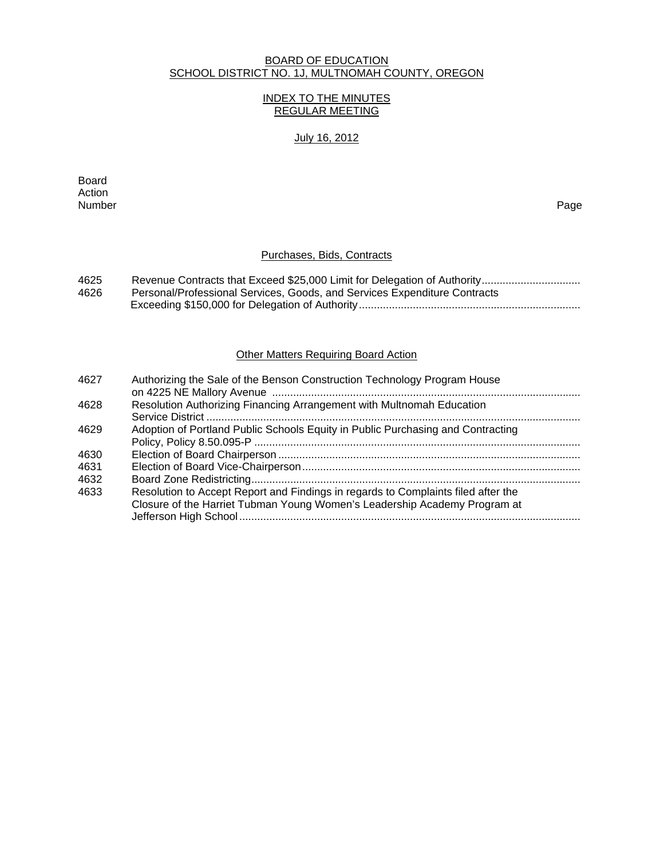#### BOARD OF EDUCATION SCHOOL DISTRICT NO. 1J, MULTNOMAH COUNTY, OREGON

## INDEX TO THE MINUTES REGULAR MEETING

## July 16, 2012

extending the control of the control of the control of the control of the control of the control of the control of the control of the control of the control of the control of the control of the control of the control of th Action<br>Number Number Page

## Purchases, Bids, Contracts

| 4625 |                                                                           |
|------|---------------------------------------------------------------------------|
| 4626 | Personal/Professional Services, Goods, and Services Expenditure Contracts |
|      |                                                                           |

# **Other Matters Requiring Board Action**

| 4627 | Authorizing the Sale of the Benson Construction Technology Program House                                                                                       |
|------|----------------------------------------------------------------------------------------------------------------------------------------------------------------|
| 4628 | Resolution Authorizing Financing Arrangement with Multnomah Education                                                                                          |
| 4629 | Adoption of Portland Public Schools Equity in Public Purchasing and Contracting                                                                                |
| 4630 |                                                                                                                                                                |
| 4631 |                                                                                                                                                                |
| 4632 |                                                                                                                                                                |
| 4633 | Resolution to Accept Report and Findings in regards to Complaints filed after the<br>Closure of the Harriet Tubman Young Women's Leadership Academy Program at |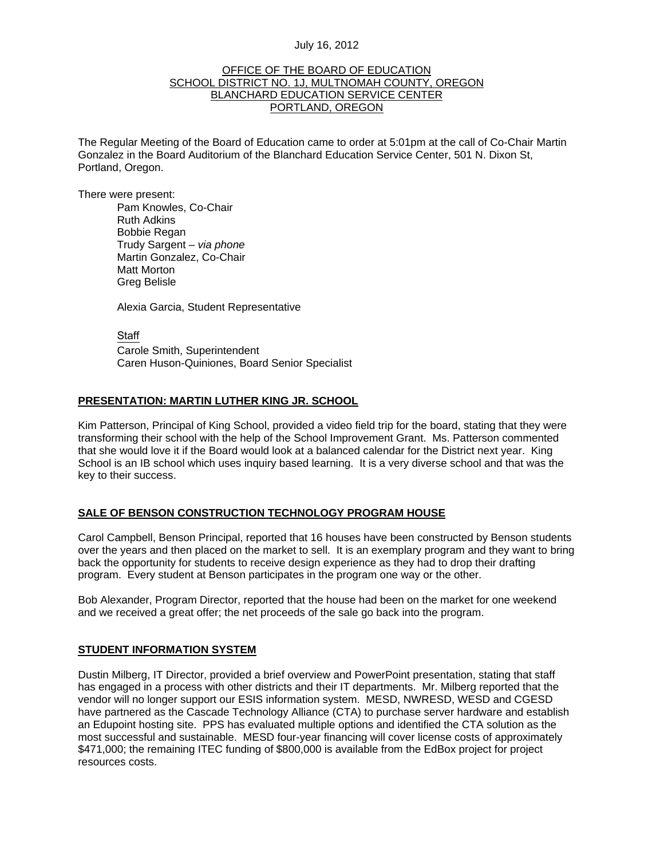#### OFFICE OF THE BOARD OF EDUCATION SCHOOL DISTRICT NO. 1J, MULTNOMAH COUNTY, OREGON BLANCHARD EDUCATION SERVICE CENTER PORTLAND, OREGON

The Regular Meeting of the Board of Education came to order at 5:01pm at the call of Co-Chair Martin Gonzalez in the Board Auditorium of the Blanchard Education Service Center, 501 N. Dixon St, Portland, Oregon.

There were present: Pam Knowles, Co-Chair Ruth Adkins Bobbie Regan Trudy Sargent – *via phone* Martin Gonzalez, Co-Chair Matt Morton Greg Belisle

Alexia Garcia, Student Representative

**Staff**  Carole Smith, Superintendent Caren Huson-Quiniones, Board Senior Specialist

## **PRESENTATION: MARTIN LUTHER KING JR. SCHOOL**

Kim Patterson, Principal of King School, provided a video field trip for the board, stating that they were transforming their school with the help of the School Improvement Grant. Ms. Patterson commented that she would love it if the Board would look at a balanced calendar for the District next year. King School is an IB school which uses inquiry based learning. It is a very diverse school and that was the key to their success.

## **SALE OF BENSON CONSTRUCTION TECHNOLOGY PROGRAM HOUSE**

Carol Campbell, Benson Principal, reported that 16 houses have been constructed by Benson students over the years and then placed on the market to sell. It is an exemplary program and they want to bring back the opportunity for students to receive design experience as they had to drop their drafting program. Every student at Benson participates in the program one way or the other.

Bob Alexander, Program Director, reported that the house had been on the market for one weekend and we received a great offer; the net proceeds of the sale go back into the program.

## **STUDENT INFORMATION SYSTEM**

Dustin Milberg, IT Director, provided a brief overview and PowerPoint presentation, stating that staff has engaged in a process with other districts and their IT departments. Mr. Milberg reported that the vendor will no longer support our ESIS information system. MESD, NWRESD, WESD and CGESD have partnered as the Cascade Technology Alliance (CTA) to purchase server hardware and establish an Edupoint hosting site. PPS has evaluated multiple options and identified the CTA solution as the most successful and sustainable. MESD four-year financing will cover license costs of approximately \$471,000; the remaining ITEC funding of \$800,000 is available from the EdBox project for project resources costs.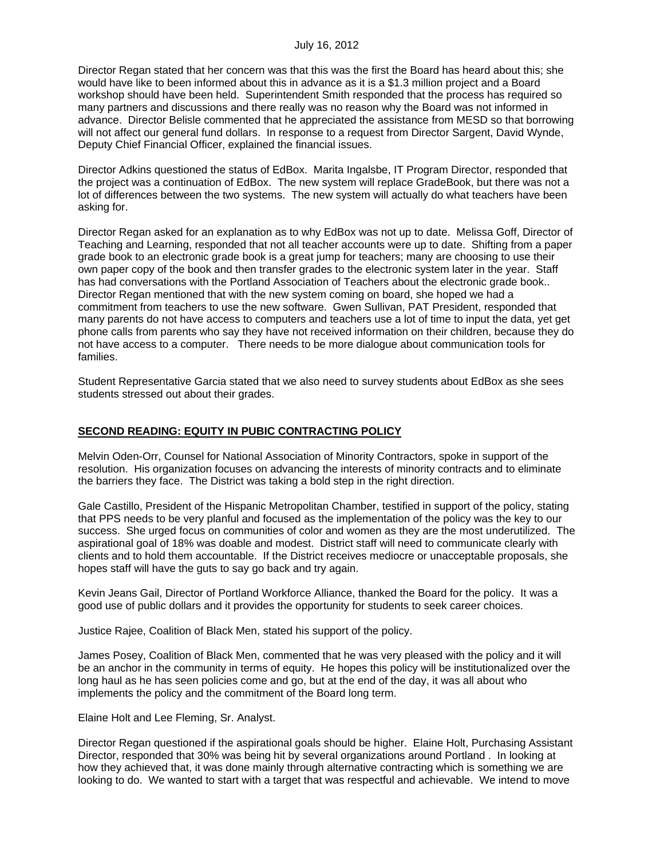Director Regan stated that her concern was that this was the first the Board has heard about this; she would have like to been informed about this in advance as it is a \$1.3 million project and a Board workshop should have been held. Superintendent Smith responded that the process has required so many partners and discussions and there really was no reason why the Board was not informed in advance. Director Belisle commented that he appreciated the assistance from MESD so that borrowing will not affect our general fund dollars. In response to a request from Director Sargent, David Wynde, Deputy Chief Financial Officer, explained the financial issues.

Director Adkins questioned the status of EdBox. Marita Ingalsbe, IT Program Director, responded that the project was a continuation of EdBox. The new system will replace GradeBook, but there was not a lot of differences between the two systems. The new system will actually do what teachers have been asking for.

Director Regan asked for an explanation as to why EdBox was not up to date. Melissa Goff, Director of Teaching and Learning, responded that not all teacher accounts were up to date. Shifting from a paper grade book to an electronic grade book is a great jump for teachers; many are choosing to use their own paper copy of the book and then transfer grades to the electronic system later in the year. Staff has had conversations with the Portland Association of Teachers about the electronic grade book.. Director Regan mentioned that with the new system coming on board, she hoped we had a commitment from teachers to use the new software. Gwen Sullivan, PAT President, responded that many parents do not have access to computers and teachers use a lot of time to input the data, yet get phone calls from parents who say they have not received information on their children, because they do not have access to a computer. There needs to be more dialogue about communication tools for families.

Student Representative Garcia stated that we also need to survey students about EdBox as she sees students stressed out about their grades.

## **SECOND READING: EQUITY IN PUBIC CONTRACTING POLICY**

Melvin Oden-Orr, Counsel for National Association of Minority Contractors, spoke in support of the resolution. His organization focuses on advancing the interests of minority contracts and to eliminate the barriers they face. The District was taking a bold step in the right direction.

Gale Castillo, President of the Hispanic Metropolitan Chamber, testified in support of the policy, stating that PPS needs to be very planful and focused as the implementation of the policy was the key to our success. She urged focus on communities of color and women as they are the most underutilized. The aspirational goal of 18% was doable and modest. District staff will need to communicate clearly with clients and to hold them accountable. If the District receives mediocre or unacceptable proposals, she hopes staff will have the guts to say go back and try again.

Kevin Jeans Gail, Director of Portland Workforce Alliance, thanked the Board for the policy. It was a good use of public dollars and it provides the opportunity for students to seek career choices.

Justice Rajee, Coalition of Black Men, stated his support of the policy.

James Posey, Coalition of Black Men, commented that he was very pleased with the policy and it will be an anchor in the community in terms of equity. He hopes this policy will be institutionalized over the long haul as he has seen policies come and go, but at the end of the day, it was all about who implements the policy and the commitment of the Board long term.

Elaine Holt and Lee Fleming, Sr. Analyst.

Director Regan questioned if the aspirational goals should be higher. Elaine Holt, Purchasing Assistant Director, responded that 30% was being hit by several organizations around Portland . In looking at how they achieved that, it was done mainly through alternative contracting which is something we are looking to do. We wanted to start with a target that was respectful and achievable. We intend to move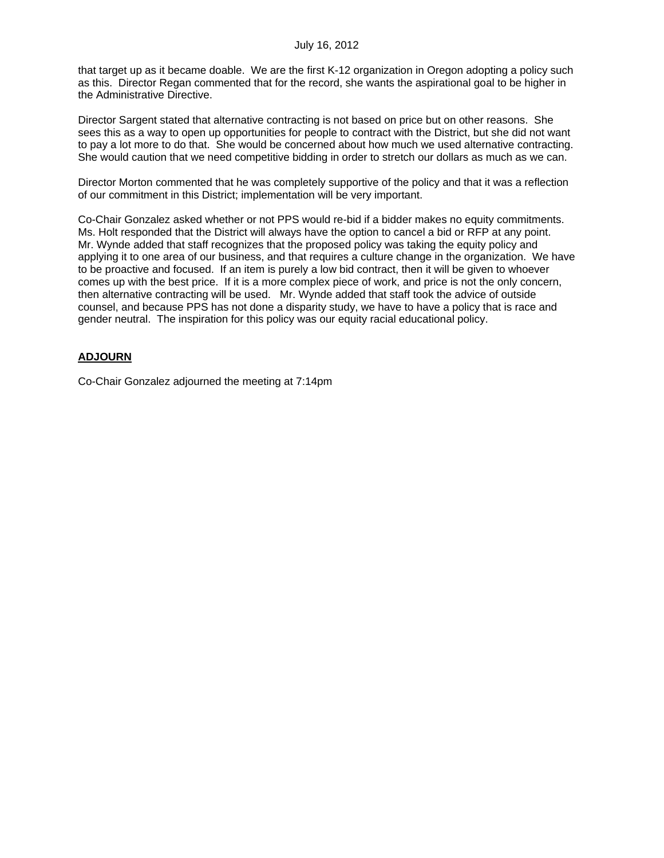that target up as it became doable. We are the first K-12 organization in Oregon adopting a policy such as this. Director Regan commented that for the record, she wants the aspirational goal to be higher in the Administrative Directive.

Director Sargent stated that alternative contracting is not based on price but on other reasons. She sees this as a way to open up opportunities for people to contract with the District, but she did not want to pay a lot more to do that. She would be concerned about how much we used alternative contracting. She would caution that we need competitive bidding in order to stretch our dollars as much as we can.

Director Morton commented that he was completely supportive of the policy and that it was a reflection of our commitment in this District; implementation will be very important.

Co-Chair Gonzalez asked whether or not PPS would re-bid if a bidder makes no equity commitments. Ms. Holt responded that the District will always have the option to cancel a bid or RFP at any point. Mr. Wynde added that staff recognizes that the proposed policy was taking the equity policy and applying it to one area of our business, and that requires a culture change in the organization. We have to be proactive and focused. If an item is purely a low bid contract, then it will be given to whoever comes up with the best price. If it is a more complex piece of work, and price is not the only concern, then alternative contracting will be used. Mr. Wynde added that staff took the advice of outside counsel, and because PPS has not done a disparity study, we have to have a policy that is race and gender neutral. The inspiration for this policy was our equity racial educational policy.

# **ADJOURN**

Co-Chair Gonzalez adjourned the meeting at 7:14pm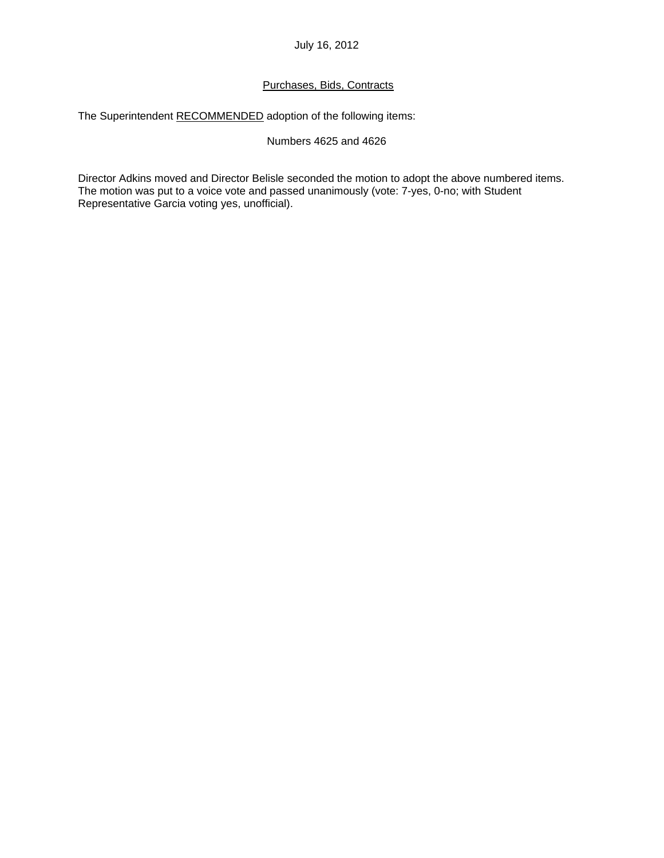# Purchases, Bids, Contracts

The Superintendent RECOMMENDED adoption of the following items:

## Numbers 4625 and 4626

Director Adkins moved and Director Belisle seconded the motion to adopt the above numbered items. The motion was put to a voice vote and passed unanimously (vote: 7-yes, 0-no; with Student Representative Garcia voting yes, unofficial).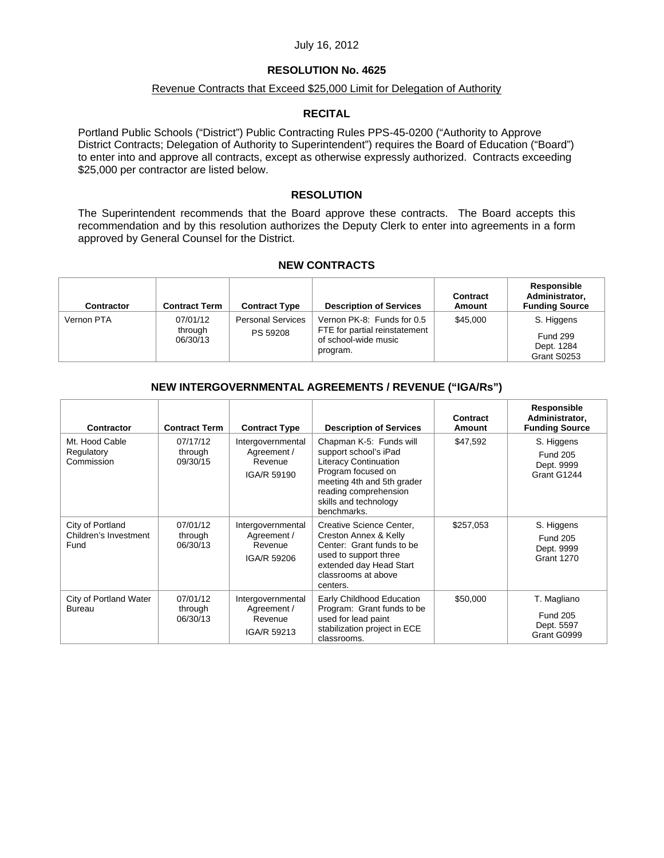## **RESOLUTION No. 4625**

## Revenue Contracts that Exceed \$25,000 Limit for Delegation of Authority

## **RECITAL**

Portland Public Schools ("District") Public Contracting Rules PPS-45-0200 ("Authority to Approve District Contracts; Delegation of Authority to Superintendent") requires the Board of Education ("Board") to enter into and approve all contracts, except as otherwise expressly authorized. Contracts exceeding \$25,000 per contractor are listed below.

## **RESOLUTION**

The Superintendent recommends that the Board approve these contracts. The Board accepts this recommendation and by this resolution authorizes the Deputy Clerk to enter into agreements in a form approved by General Counsel for the District.

## **NEW CONTRACTS**

| <b>Contractor</b> | <b>Contract Term</b>            | <b>Contract Type</b>                 | <b>Description of Services</b>                                                                  | Contract<br>Amount | Responsible<br>Administrator,<br><b>Funding Source</b>     |
|-------------------|---------------------------------|--------------------------------------|-------------------------------------------------------------------------------------------------|--------------------|------------------------------------------------------------|
| Vernon PTA        | 07/01/12<br>through<br>06/30/13 | <b>Personal Services</b><br>PS 59208 | Vernon PK-8: Funds for 0.5<br>FTE for partial reinstatement<br>of school-wide music<br>program. | \$45,000           | S. Higgens<br><b>Fund 299</b><br>Dept. 1284<br>Grant S0253 |

## **NEW INTERGOVERNMENTAL AGREEMENTS / REVENUE ("IGA/Rs")**

| Contractor                                        | <b>Contract Term</b>            | <b>Contract Type</b>                                       | <b>Description of Services</b>                                                                                                                                                                        | Contract<br>Amount | Responsible<br>Administrator,<br><b>Funding Source</b>           |
|---------------------------------------------------|---------------------------------|------------------------------------------------------------|-------------------------------------------------------------------------------------------------------------------------------------------------------------------------------------------------------|--------------------|------------------------------------------------------------------|
| Mt. Hood Cable<br>Regulatory<br>Commission        | 07/17/12<br>through<br>09/30/15 | Intergovernmental<br>Agreement /<br>Revenue<br>IGA/R 59190 | Chapman K-5: Funds will<br>support school's iPad<br><b>Literacy Continuation</b><br>Program focused on<br>meeting 4th and 5th grader<br>reading comprehension<br>skills and technology<br>benchmarks. | \$47,592           | S. Higgens<br><b>Fund 205</b><br>Dept. 9999<br>Grant G1244       |
| City of Portland<br>Children's Investment<br>Fund | 07/01/12<br>through<br>06/30/13 | Intergovernmental<br>Agreement /<br>Revenue<br>IGA/R 59206 | Creative Science Center,<br>Creston Annex & Kelly<br>Center: Grant funds to be<br>used to support three<br>extended day Head Start<br>classrooms at above<br>centers.                                 | \$257,053          | S. Higgens<br><b>Fund 205</b><br>Dept. 9999<br><b>Grant 1270</b> |
| City of Portland Water<br>Bureau                  | 07/01/12<br>through<br>06/30/13 | Intergovernmental<br>Agreement /<br>Revenue<br>IGA/R 59213 | Early Childhood Education<br>Program: Grant funds to be<br>used for lead paint<br>stabilization project in ECE<br>classrooms.                                                                         | \$50,000           | T. Magliano<br><b>Fund 205</b><br>Dept. 5597<br>Grant G0999      |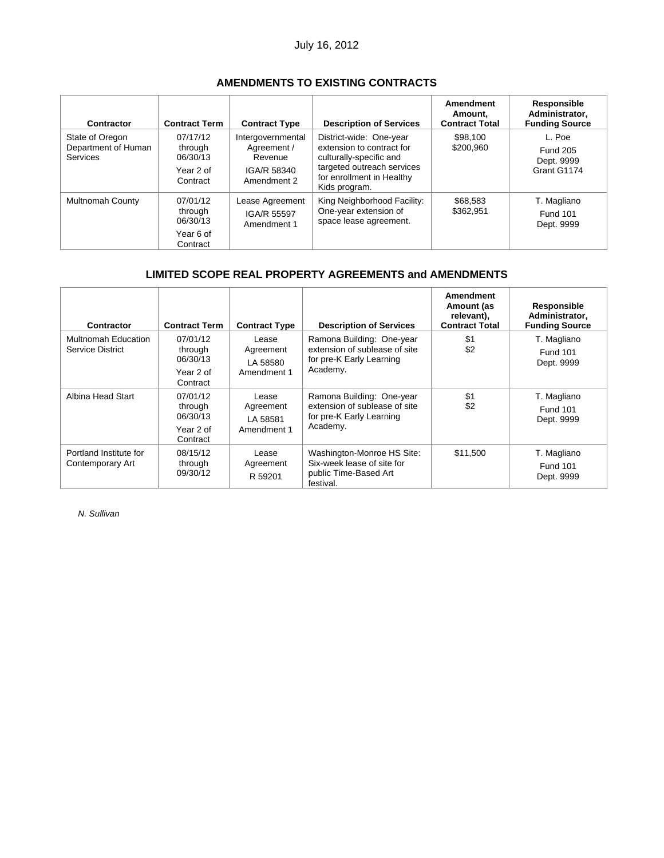# **AMENDMENTS TO EXISTING CONTRACTS**

| Contractor                                                | <b>Contract Term</b>                                     | <b>Contract Type</b>                                                      | <b>Description of Services</b>                                                                                                                              | Amendment<br>Amount.<br><b>Contract Total</b> | Responsible<br>Administrator.<br><b>Funding Source</b> |
|-----------------------------------------------------------|----------------------------------------------------------|---------------------------------------------------------------------------|-------------------------------------------------------------------------------------------------------------------------------------------------------------|-----------------------------------------------|--------------------------------------------------------|
| State of Oregon<br>Department of Human<br><b>Services</b> | 07/17/12<br>through<br>06/30/13<br>Year 2 of<br>Contract | Intergovernmental<br>Agreement /<br>Revenue<br>IGA/R 58340<br>Amendment 2 | District-wide: One-year<br>extension to contract for<br>culturally-specific and<br>targeted outreach services<br>for enrollment in Healthy<br>Kids program. | \$98,100<br>\$200,960                         | L. Poe<br><b>Fund 205</b><br>Dept. 9999<br>Grant G1174 |
| <b>Multnomah County</b>                                   | 07/01/12<br>through<br>06/30/13<br>Year 6 of<br>Contract | Lease Agreement<br>IGA/R 55597<br>Amendment 1                             | King Neighborhood Facility:<br>One-year extension of<br>space lease agreement.                                                                              | \$68,583<br>\$362,951                         | T. Magliano<br><b>Fund 101</b><br>Dept. 9999           |

# **LIMITED SCOPE REAL PROPERTY AGREEMENTS and AMENDMENTS**

| Contractor                                 | <b>Contract Term</b>                                     | <b>Contract Type</b>                          | <b>Description of Services</b>                                                                     | <b>Amendment</b><br>Amount (as<br>relevant),<br><b>Contract Total</b> | Responsible<br>Administrator,<br><b>Funding Source</b> |
|--------------------------------------------|----------------------------------------------------------|-----------------------------------------------|----------------------------------------------------------------------------------------------------|-----------------------------------------------------------------------|--------------------------------------------------------|
| Multnomah Education<br>Service District    | 07/01/12<br>through<br>06/30/13<br>Year 2 of<br>Contract | Lease<br>Agreement<br>LA 58580<br>Amendment 1 | Ramona Building: One-year<br>extension of sublease of site<br>for pre-K Early Learning<br>Academy. | \$1<br>\$2                                                            | T. Magliano<br><b>Fund 101</b><br>Dept. 9999           |
| Albina Head Start                          | 07/01/12<br>through<br>06/30/13<br>Year 2 of<br>Contract | Lease<br>Agreement<br>LA 58581<br>Amendment 1 | Ramona Building: One-year<br>extension of sublease of site<br>for pre-K Early Learning<br>Academy. | \$1<br>\$2                                                            | T. Magliano<br><b>Fund 101</b><br>Dept. 9999           |
| Portland Institute for<br>Contemporary Art | 08/15/12<br>through<br>09/30/12                          | Lease<br>Agreement<br>R 59201                 | Washington-Monroe HS Site:<br>Six-week lease of site for<br>public Time-Based Art<br>festival.     | \$11,500                                                              | T. Magliano<br><b>Fund 101</b><br>Dept. 9999           |

*N. Sullivan*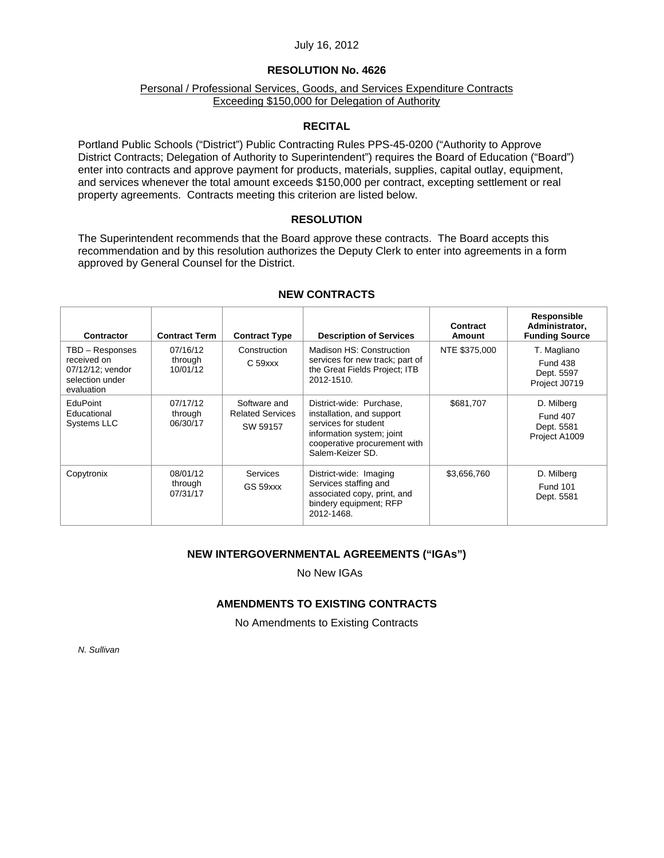#### **RESOLUTION No. 4626**

#### Personal / Professional Services, Goods, and Services Expenditure Contracts Exceeding \$150,000 for Delegation of Authority

## **RECITAL**

Portland Public Schools ("District") Public Contracting Rules PPS-45-0200 ("Authority to Approve District Contracts; Delegation of Authority to Superintendent") requires the Board of Education ("Board") enter into contracts and approve payment for products, materials, supplies, capital outlay, equipment, and services whenever the total amount exceeds \$150,000 per contract, excepting settlement or real property agreements. Contracts meeting this criterion are listed below.

#### **RESOLUTION**

The Superintendent recommends that the Board approve these contracts. The Board accepts this recommendation and by this resolution authorizes the Deputy Clerk to enter into agreements in a form approved by General Counsel for the District.

| Contractor                                                                          | <b>Contract Term</b>            | <b>Contract Type</b>                                | <b>Description of Services</b>                                                                                                                                 | Contract<br>Amount | <b>Responsible</b><br>Administrator,<br><b>Funding Source</b> |
|-------------------------------------------------------------------------------------|---------------------------------|-----------------------------------------------------|----------------------------------------------------------------------------------------------------------------------------------------------------------------|--------------------|---------------------------------------------------------------|
| TBD - Responses<br>received on<br>07/12/12; vendor<br>selection under<br>evaluation | 07/16/12<br>through<br>10/01/12 | Construction<br>$C59$ xx                            | Madison HS: Construction<br>services for new track; part of<br>the Great Fields Project; ITB<br>2012-1510.                                                     | NTE \$375,000      | T. Magliano<br><b>Fund 438</b><br>Dept. 5597<br>Project J0719 |
| <b>EduPoint</b><br>Educational<br><b>Systems LLC</b>                                | 07/17/12<br>through<br>06/30/17 | Software and<br><b>Related Services</b><br>SW 59157 | District-wide: Purchase.<br>installation, and support<br>services for student<br>information system; joint<br>cooperative procurement with<br>Salem-Keizer SD. | \$681,707          | D. Milberg<br><b>Fund 407</b><br>Dept. 5581<br>Project A1009  |
| Copytronix                                                                          | 08/01/12<br>through<br>07/31/17 | <b>Services</b><br>GS 59xxx                         | District-wide: Imaging<br>Services staffing and<br>associated copy, print, and<br>bindery equipment; RFP<br>2012-1468.                                         | \$3,656,760        | D. Milberg<br><b>Fund 101</b><br>Dept. 5581                   |

#### **NEW CONTRACTS**

## **NEW INTERGOVERNMENTAL AGREEMENTS ("IGAs")**

No New IGAs

## **AMENDMENTS TO EXISTING CONTRACTS**

No Amendments to Existing Contracts

*N. Sullivan*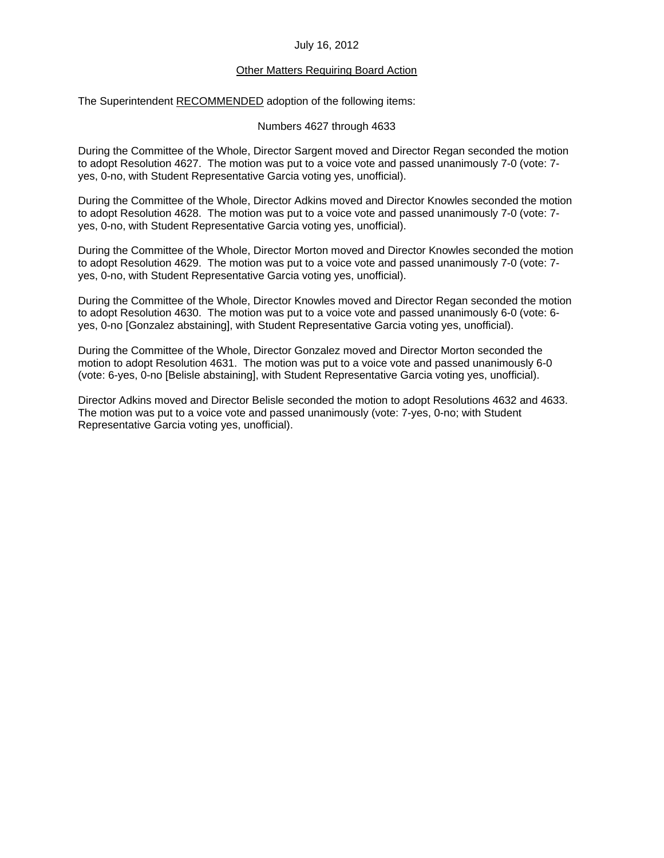# Other Matters Requiring Board Action

The Superintendent RECOMMENDED adoption of the following items:

Numbers 4627 through 4633

During the Committee of the Whole, Director Sargent moved and Director Regan seconded the motion to adopt Resolution 4627. The motion was put to a voice vote and passed unanimously 7-0 (vote: 7 yes, 0-no, with Student Representative Garcia voting yes, unofficial).

During the Committee of the Whole, Director Adkins moved and Director Knowles seconded the motion to adopt Resolution 4628. The motion was put to a voice vote and passed unanimously 7-0 (vote: 7 yes, 0-no, with Student Representative Garcia voting yes, unofficial).

During the Committee of the Whole, Director Morton moved and Director Knowles seconded the motion to adopt Resolution 4629. The motion was put to a voice vote and passed unanimously 7-0 (vote: 7 yes, 0-no, with Student Representative Garcia voting yes, unofficial).

During the Committee of the Whole, Director Knowles moved and Director Regan seconded the motion to adopt Resolution 4630. The motion was put to a voice vote and passed unanimously 6-0 (vote: 6 yes, 0-no [Gonzalez abstaining], with Student Representative Garcia voting yes, unofficial).

During the Committee of the Whole, Director Gonzalez moved and Director Morton seconded the motion to adopt Resolution 4631. The motion was put to a voice vote and passed unanimously 6-0 (vote: 6-yes, 0-no [Belisle abstaining], with Student Representative Garcia voting yes, unofficial).

Director Adkins moved and Director Belisle seconded the motion to adopt Resolutions 4632 and 4633. The motion was put to a voice vote and passed unanimously (vote: 7-yes, 0-no; with Student Representative Garcia voting yes, unofficial).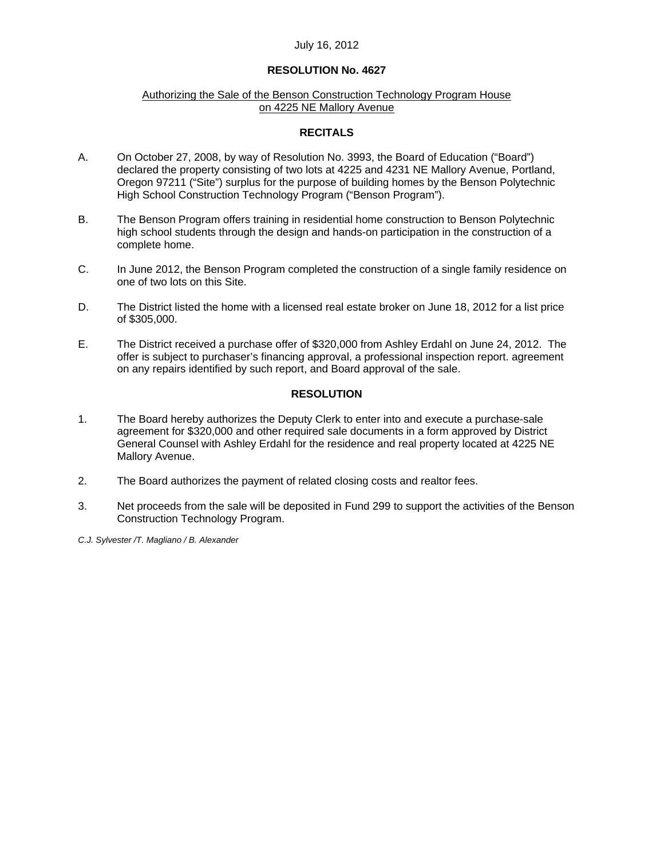## **RESOLUTION No. 4627**

## Authorizing the Sale of the Benson Construction Technology Program House on 4225 NE Mallory Avenue

## **RECITALS**

- A. On October 27, 2008, by way of Resolution No. 3993, the Board of Education ("Board") declared the property consisting of two lots at 4225 and 4231 NE Mallory Avenue, Portland, Oregon 97211 ("Site") surplus for the purpose of building homes by the Benson Polytechnic High School Construction Technology Program ("Benson Program").
- B. The Benson Program offers training in residential home construction to Benson Polytechnic high school students through the design and hands-on participation in the construction of a complete home.
- C. In June 2012, the Benson Program completed the construction of a single family residence on one of two lots on this Site.
- D. The District listed the home with a licensed real estate broker on June 18, 2012 for a list price of \$305,000.
- E. The District received a purchase offer of \$320,000 from Ashley Erdahl on June 24, 2012. The offer is subject to purchaser's financing approval, a professional inspection report. agreement on any repairs identified by such report, and Board approval of the sale.

## **RESOLUTION**

- 1. The Board hereby authorizes the Deputy Clerk to enter into and execute a purchase-sale agreement for \$320,000 and other required sale documents in a form approved by District General Counsel with Ashley Erdahl for the residence and real property located at 4225 NE Mallory Avenue.
- 2. The Board authorizes the payment of related closing costs and realtor fees.
- 3. Net proceeds from the sale will be deposited in Fund 299 to support the activities of the Benson Construction Technology Program.

*C.J. Sylvester /T. Magliano / B. Alexander*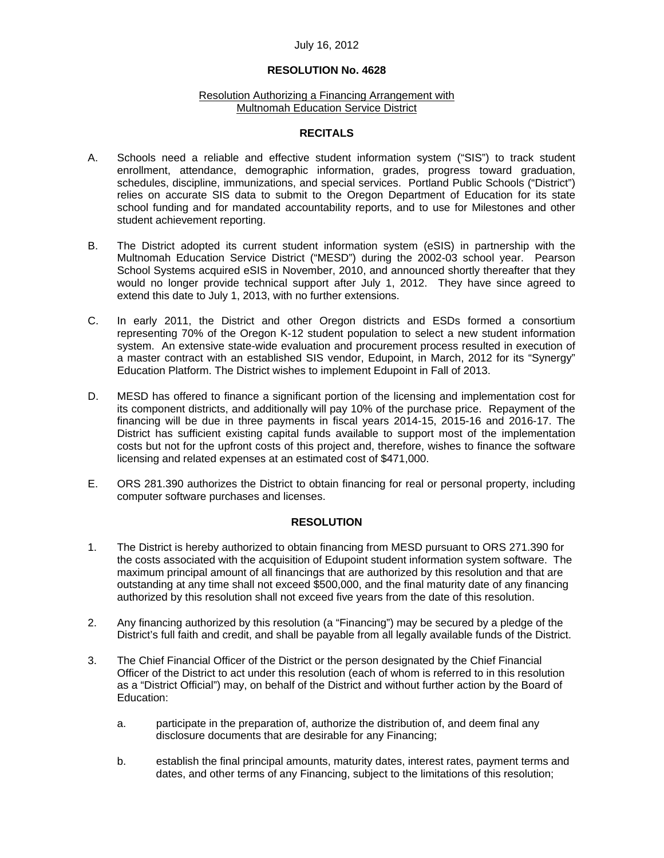#### **RESOLUTION No. 4628**

#### Resolution Authorizing a Financing Arrangement with Multnomah Education Service District

## **RECITALS**

- A. Schools need a reliable and effective student information system ("SIS") to track student enrollment, attendance, demographic information, grades, progress toward graduation, schedules, discipline, immunizations, and special services. Portland Public Schools ("District") relies on accurate SIS data to submit to the Oregon Department of Education for its state school funding and for mandated accountability reports, and to use for Milestones and other student achievement reporting.
- B. The District adopted its current student information system (eSIS) in partnership with the Multnomah Education Service District ("MESD") during the 2002-03 school year. Pearson School Systems acquired eSIS in November, 2010, and announced shortly thereafter that they would no longer provide technical support after July 1, 2012. They have since agreed to extend this date to July 1, 2013, with no further extensions.
- C. In early 2011, the District and other Oregon districts and ESDs formed a consortium representing 70% of the Oregon K-12 student population to select a new student information system. An extensive state-wide evaluation and procurement process resulted in execution of a master contract with an established SIS vendor, Edupoint, in March, 2012 for its "Synergy" Education Platform. The District wishes to implement Edupoint in Fall of 2013.
- D. MESD has offered to finance a significant portion of the licensing and implementation cost for its component districts, and additionally will pay 10% of the purchase price. Repayment of the financing will be due in three payments in fiscal years 2014-15, 2015-16 and 2016-17. The District has sufficient existing capital funds available to support most of the implementation costs but not for the upfront costs of this project and, therefore, wishes to finance the software licensing and related expenses at an estimated cost of \$471,000.
- E. ORS 281.390 authorizes the District to obtain financing for real or personal property, including computer software purchases and licenses.

## **RESOLUTION**

- 1. The District is hereby authorized to obtain financing from MESD pursuant to ORS 271.390 for the costs associated with the acquisition of Edupoint student information system software. The maximum principal amount of all financings that are authorized by this resolution and that are outstanding at any time shall not exceed \$500,000, and the final maturity date of any financing authorized by this resolution shall not exceed five years from the date of this resolution.
- 2. Any financing authorized by this resolution (a "Financing") may be secured by a pledge of the District's full faith and credit, and shall be payable from all legally available funds of the District.
- 3. The Chief Financial Officer of the District or the person designated by the Chief Financial Officer of the District to act under this resolution (each of whom is referred to in this resolution as a "District Official") may, on behalf of the District and without further action by the Board of Education:
	- a. participate in the preparation of, authorize the distribution of, and deem final any disclosure documents that are desirable for any Financing;
	- b. establish the final principal amounts, maturity dates, interest rates, payment terms and dates, and other terms of any Financing, subject to the limitations of this resolution;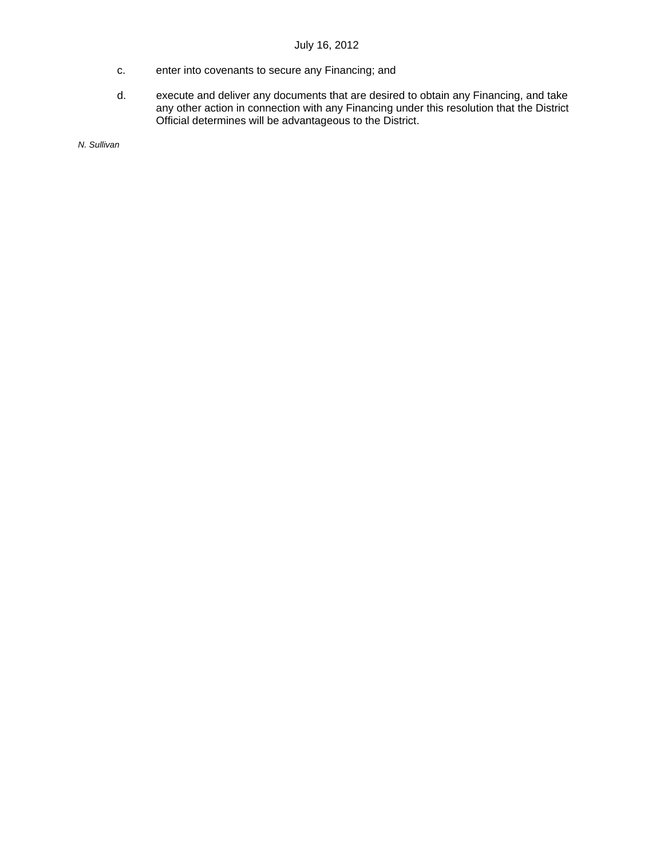- c. enter into covenants to secure any Financing; and
- d. execute and deliver any documents that are desired to obtain any Financing, and take any other action in connection with any Financing under this resolution that the District Official determines will be advantageous to the District.

*N. Sullivan*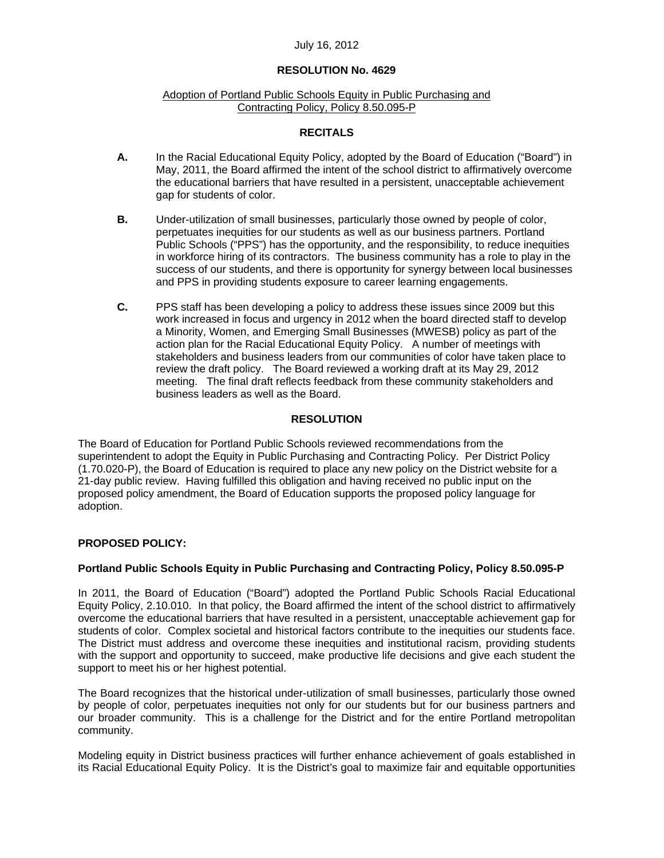## **RESOLUTION No. 4629**

#### Adoption of Portland Public Schools Equity in Public Purchasing and Contracting Policy, Policy 8.50.095-P

## **RECITALS**

- **A.** In the Racial Educational Equity Policy, adopted by the Board of Education ("Board") in May, 2011, the Board affirmed the intent of the school district to affirmatively overcome the educational barriers that have resulted in a persistent, unacceptable achievement gap for students of color.
- **B.** Under-utilization of small businesses, particularly those owned by people of color, perpetuates inequities for our students as well as our business partners. Portland Public Schools ("PPS") has the opportunity, and the responsibility, to reduce inequities in workforce hiring of its contractors. The business community has a role to play in the success of our students, and there is opportunity for synergy between local businesses and PPS in providing students exposure to career learning engagements.
- **C.** PPS staff has been developing a policy to address these issues since 2009 but this work increased in focus and urgency in 2012 when the board directed staff to develop a Minority, Women, and Emerging Small Businesses (MWESB) policy as part of the action plan for the Racial Educational Equity Policy. A number of meetings with stakeholders and business leaders from our communities of color have taken place to review the draft policy. The Board reviewed a working draft at its May 29, 2012 meeting. The final draft reflects feedback from these community stakeholders and business leaders as well as the Board.

## **RESOLUTION**

The Board of Education for Portland Public Schools reviewed recommendations from the superintendent to adopt the Equity in Public Purchasing and Contracting Policy. Per District Policy (1.70.020-P), the Board of Education is required to place any new policy on the District website for a 21-day public review. Having fulfilled this obligation and having received no public input on the proposed policy amendment, the Board of Education supports the proposed policy language for adoption.

## **PROPOSED POLICY:**

## **Portland Public Schools Equity in Public Purchasing and Contracting Policy, Policy 8.50.095-P**

In 2011, the Board of Education ("Board") adopted the Portland Public Schools Racial Educational Equity Policy, 2.10.010. In that policy, the Board affirmed the intent of the school district to affirmatively overcome the educational barriers that have resulted in a persistent, unacceptable achievement gap for students of color. Complex societal and historical factors contribute to the inequities our students face. The District must address and overcome these inequities and institutional racism, providing students with the support and opportunity to succeed, make productive life decisions and give each student the support to meet his or her highest potential.

The Board recognizes that the historical under-utilization of small businesses, particularly those owned by people of color, perpetuates inequities not only for our students but for our business partners and our broader community. This is a challenge for the District and for the entire Portland metropolitan community.

Modeling equity in District business practices will further enhance achievement of goals established in its Racial Educational Equity Policy. It is the District's goal to maximize fair and equitable opportunities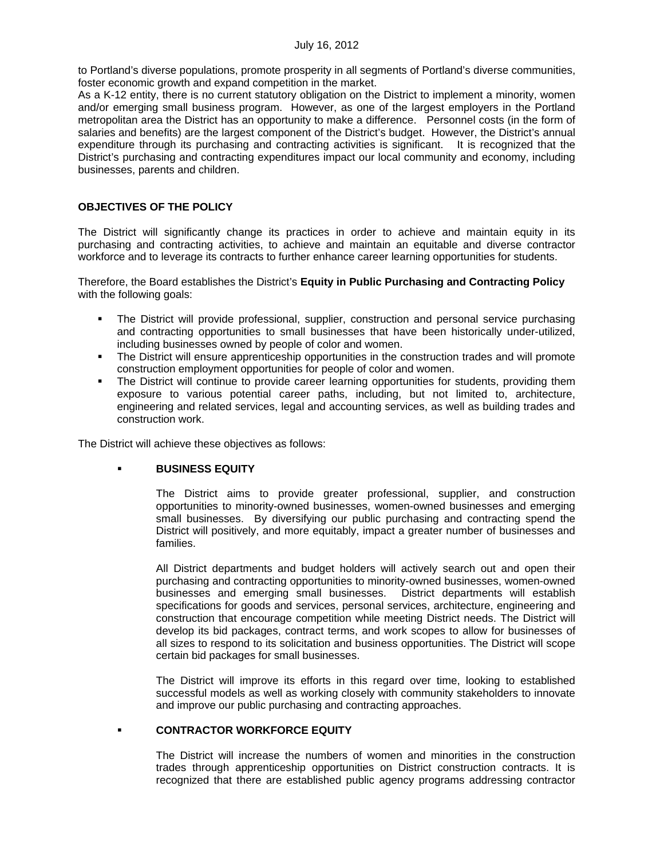to Portland's diverse populations, promote prosperity in all segments of Portland's diverse communities, foster economic growth and expand competition in the market.

As a K-12 entity, there is no current statutory obligation on the District to implement a minority, women and/or emerging small business program. However, as one of the largest employers in the Portland metropolitan area the District has an opportunity to make a difference. Personnel costs (in the form of salaries and benefits) are the largest component of the District's budget. However, the District's annual expenditure through its purchasing and contracting activities is significant. It is recognized that the District's purchasing and contracting expenditures impact our local community and economy, including businesses, parents and children.

## **OBJECTIVES OF THE POLICY**

The District will significantly change its practices in order to achieve and maintain equity in its purchasing and contracting activities, to achieve and maintain an equitable and diverse contractor workforce and to leverage its contracts to further enhance career learning opportunities for students.

Therefore, the Board establishes the District's **Equity in Public Purchasing and Contracting Policy**  with the following goals:

- **The District will provide professional, supplier, construction and personal service purchasing** and contracting opportunities to small businesses that have been historically under-utilized, including businesses owned by people of color and women.
- **The District will ensure apprenticeship opportunities in the construction trades and will promote** construction employment opportunities for people of color and women.
- The District will continue to provide career learning opportunities for students, providing them exposure to various potential career paths, including, but not limited to, architecture, engineering and related services, legal and accounting services, as well as building trades and construction work.

The District will achieve these objectives as follows:

## **BUSINESS EQUITY**

The District aims to provide greater professional, supplier, and construction opportunities to minority-owned businesses, women-owned businesses and emerging small businesses. By diversifying our public purchasing and contracting spend the District will positively, and more equitably, impact a greater number of businesses and families.

All District departments and budget holders will actively search out and open their purchasing and contracting opportunities to minority-owned businesses, women-owned businesses and emerging small businesses. District departments will establish specifications for goods and services, personal services, architecture, engineering and construction that encourage competition while meeting District needs. The District will develop its bid packages, contract terms, and work scopes to allow for businesses of all sizes to respond to its solicitation and business opportunities. The District will scope certain bid packages for small businesses.

The District will improve its efforts in this regard over time, looking to established successful models as well as working closely with community stakeholders to innovate and improve our public purchasing and contracting approaches.

## **CONTRACTOR WORKFORCE EQUITY**

The District will increase the numbers of women and minorities in the construction trades through apprenticeship opportunities on District construction contracts. It is recognized that there are established public agency programs addressing contractor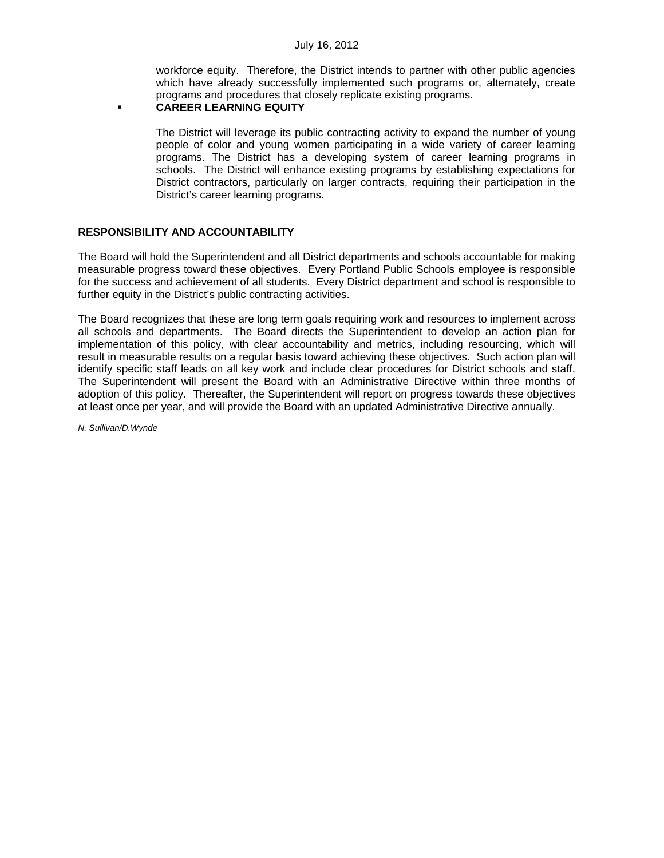workforce equity. Therefore, the District intends to partner with other public agencies which have already successfully implemented such programs or, alternately, create programs and procedures that closely replicate existing programs.

## **CAREER LEARNING EQUITY**

The District will leverage its public contracting activity to expand the number of young people of color and young women participating in a wide variety of career learning programs. The District has a developing system of career learning programs in schools. The District will enhance existing programs by establishing expectations for District contractors, particularly on larger contracts, requiring their participation in the District's career learning programs.

## **RESPONSIBILITY AND ACCOUNTABILITY**

The Board will hold the Superintendent and all District departments and schools accountable for making measurable progress toward these objectives. Every Portland Public Schools employee is responsible for the success and achievement of all students. Every District department and school is responsible to further equity in the District's public contracting activities.

The Board recognizes that these are long term goals requiring work and resources to implement across all schools and departments. The Board directs the Superintendent to develop an action plan for implementation of this policy, with clear accountability and metrics, including resourcing, which will result in measurable results on a regular basis toward achieving these objectives. Such action plan will identify specific staff leads on all key work and include clear procedures for District schools and staff. The Superintendent will present the Board with an Administrative Directive within three months of adoption of this policy. Thereafter, the Superintendent will report on progress towards these objectives at least once per year, and will provide the Board with an updated Administrative Directive annually.

*N. Sullivan/D.Wynde*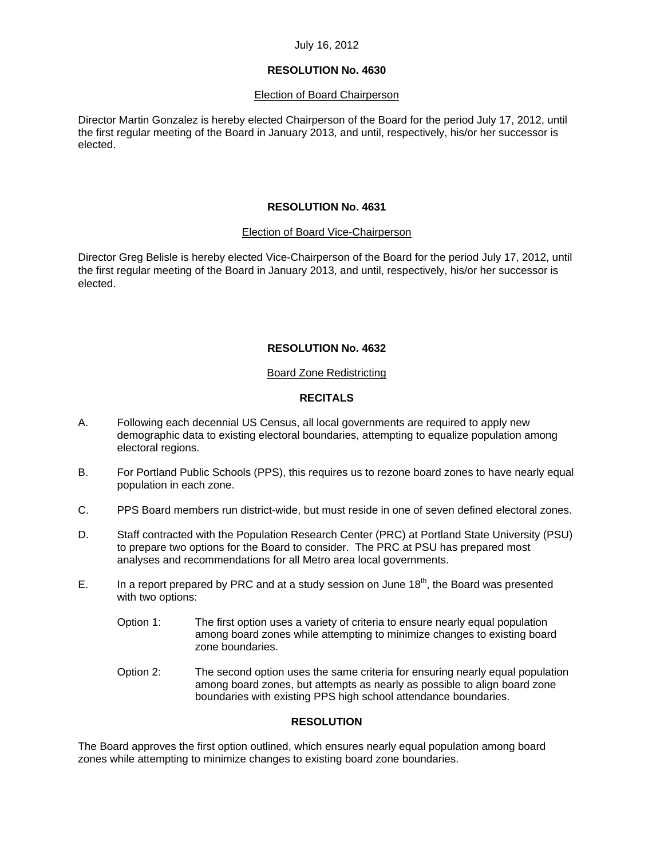## **RESOLUTION No. 4630**

## **Election of Board Chairperson**

Director Martin Gonzalez is hereby elected Chairperson of the Board for the period July 17, 2012, until the first regular meeting of the Board in January 2013, and until, respectively, his/or her successor is elected.

## **RESOLUTION No. 4631**

## Election of Board Vice-Chairperson

Director Greg Belisle is hereby elected Vice-Chairperson of the Board for the period July 17, 2012, until the first regular meeting of the Board in January 2013, and until, respectively, his/or her successor is elected.

## **RESOLUTION No. 4632**

## Board Zone Redistricting

## **RECITALS**

- A. Following each decennial US Census, all local governments are required to apply new demographic data to existing electoral boundaries, attempting to equalize population among electoral regions.
- B. For Portland Public Schools (PPS), this requires us to rezone board zones to have nearly equal population in each zone.
- C. PPS Board members run district-wide, but must reside in one of seven defined electoral zones.
- D. Staff contracted with the Population Research Center (PRC) at Portland State University (PSU) to prepare two options for the Board to consider. The PRC at PSU has prepared most analyses and recommendations for all Metro area local governments.
- E. In a report prepared by PRC and at a study session on June  $18<sup>th</sup>$ , the Board was presented with two options:
	- Option 1: The first option uses a variety of criteria to ensure nearly equal population among board zones while attempting to minimize changes to existing board zone boundaries.
	- Option 2: The second option uses the same criteria for ensuring nearly equal population among board zones, but attempts as nearly as possible to align board zone boundaries with existing PPS high school attendance boundaries.

# **RESOLUTION**

The Board approves the first option outlined, which ensures nearly equal population among board zones while attempting to minimize changes to existing board zone boundaries.